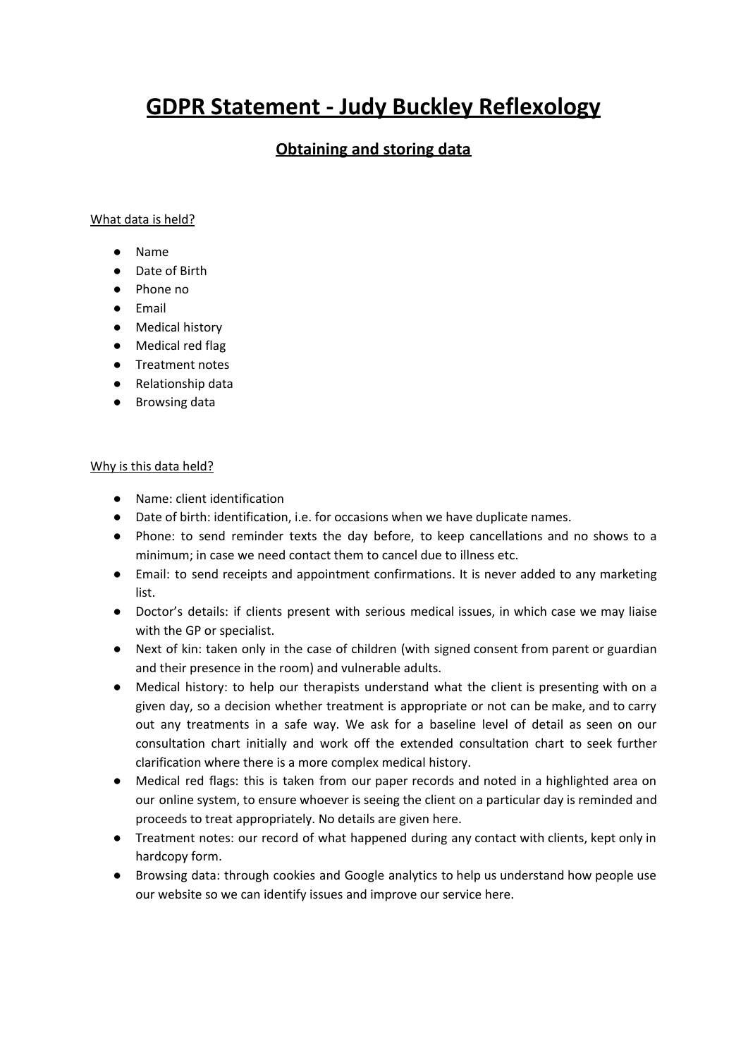# **GDPR Statement - Judy Buckley Reflexology**

# **Obtaining and storing data**

#### What data is held?

- Name
- Date of Birth
- Phone no
- Email
- Medical history
- Medical red flag
- Treatment notes
- Relationship data
- Browsing data

#### Why is this data held?

- Name: client identification
- Date of birth: identification, i.e. for occasions when we have duplicate names.
- Phone: to send reminder texts the day before, to keep cancellations and no shows to a minimum; in case we need contact them to cancel due to illness etc.
- Email: to send receipts and appointment confirmations. It is never added to any marketing list.
- Doctor's details: if clients present with serious medical issues, in which case we may liaise with the GP or specialist.
- Next of kin: taken only in the case of children (with signed consent from parent or guardian and their presence in the room) and vulnerable adults.
- Medical history: to help our therapists understand what the client is presenting with on a given day, so a decision whether treatment is appropriate or not can be make, and to carry out any treatments in a safe way. We ask for a baseline level of detail as seen on our consultation chart initially and work off the extended consultation chart to seek further clarification where there is a more complex medical history.
- Medical red flags: this is taken from our paper records and noted in a highlighted area on our online system, to ensure whoever is seeing the client on a particular day is reminded and proceeds to treat appropriately. No details are given here.
- Treatment notes: our record of what happened during any contact with clients, kept only in hardcopy form.
- Browsing data: through cookies and Google analytics to help us understand how people use our website so we can identify issues and improve our service here.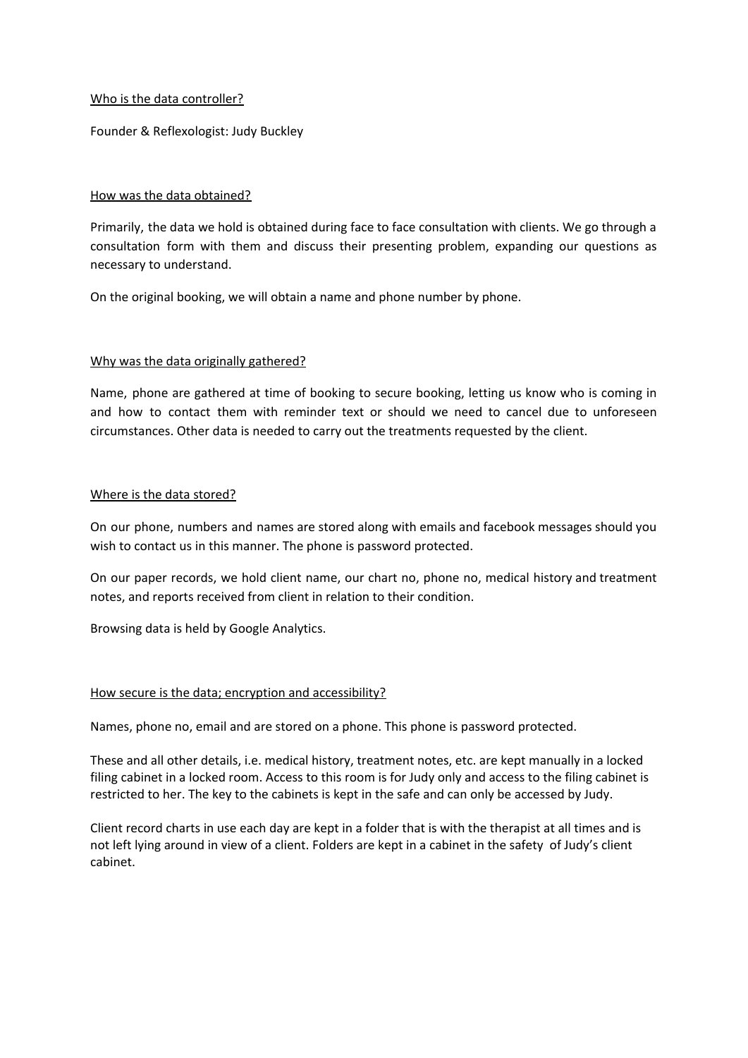### Who is the data controller?

Founder & Reflexologist: Judy Buckley

## How was the data obtained?

Primarily, the data we hold is obtained during face to face consultation with clients. We go through a consultation form with them and discuss their presenting problem, expanding our questions as necessary to understand.

On the original booking, we will obtain a name and phone number by phone.

## Why was the data originally gathered?

Name, phone are gathered at time of booking to secure booking, letting us know who is coming in and how to contact them with reminder text or should we need to cancel due to unforeseen circumstances. Other data is needed to carry out the treatments requested by the client.

#### Where is the data stored?

On our phone, numbers and names are stored along with emails and facebook messages should you wish to contact us in this manner. The phone is password protected.

On our paper records, we hold client name, our chart no, phone no, medical history and treatment notes, and reports received from client in relation to their condition.

Browsing data is held by Google Analytics.

#### How secure is the data; encryption and accessibility?

Names, phone no, email and are stored on a phone. This phone is password protected.

These and all other details, i.e. medical history, treatment notes, etc. are kept manually in a locked filing cabinet in a locked room. Access to this room is for Judy only and access to the filing cabinet is restricted to her. The key to the cabinets is kept in the safe and can only be accessed by Judy.

Client record charts in use each day are kept in a folder that is with the therapist at all times and is not left lying around in view of a client. Folders are kept in a cabinet in the safety of Judy's client cabinet.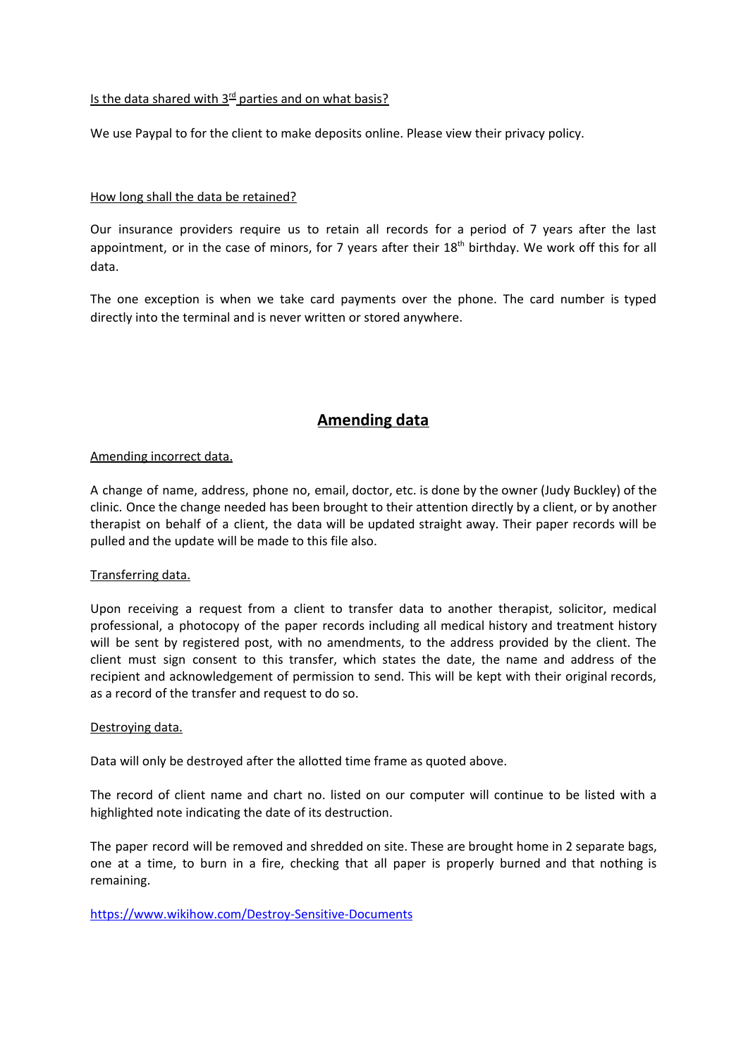# Is the data shared with  $3<sup>rd</sup>$  parties and on what basis?

We use Paypal to for the client to make deposits online. Please view their privacy policy.

#### How long shall the data be retained?

Our insurance providers require us to retain all records for a period of 7 years after the last appointment, or in the case of minors, for 7 years after their 18<sup>th</sup> birthday. We work off this for all data.

The one exception is when we take card payments over the phone. The card number is typed directly into the terminal and is never written or stored anywhere.

# **Amending data**

#### Amending incorrect data.

A change of name, address, phone no, email, doctor, etc. is done by the owner (Judy Buckley) of the clinic. Once the change needed has been brought to their attention directly by a client, or by another therapist on behalf of a client, the data will be updated straight away. Their paper records will be pulled and the update will be made to this file also.

#### Transferring data.

Upon receiving a request from a client to transfer data to another therapist, solicitor, medical professional, a photocopy of the paper records including all medical history and treatment history will be sent by registered post, with no amendments, to the address provided by the client. The client must sign consent to this transfer, which states the date, the name and address of the recipient and acknowledgement of permission to send. This will be kept with their original records, as a record of the transfer and request to do so.

#### Destroying data.

Data will only be destroyed after the allotted time frame as quoted above.

The record of client name and chart no. listed on our computer will continue to be listed with a highlighted note indicating the date of its destruction.

The paper record will be removed and shredded on site. These are brought home in 2 separate bags, one at a time, to burn in a fire, checking that all paper is properly burned and that nothing is remaining.

<https://www.wikihow.com/Destroy-Sensitive-Documents>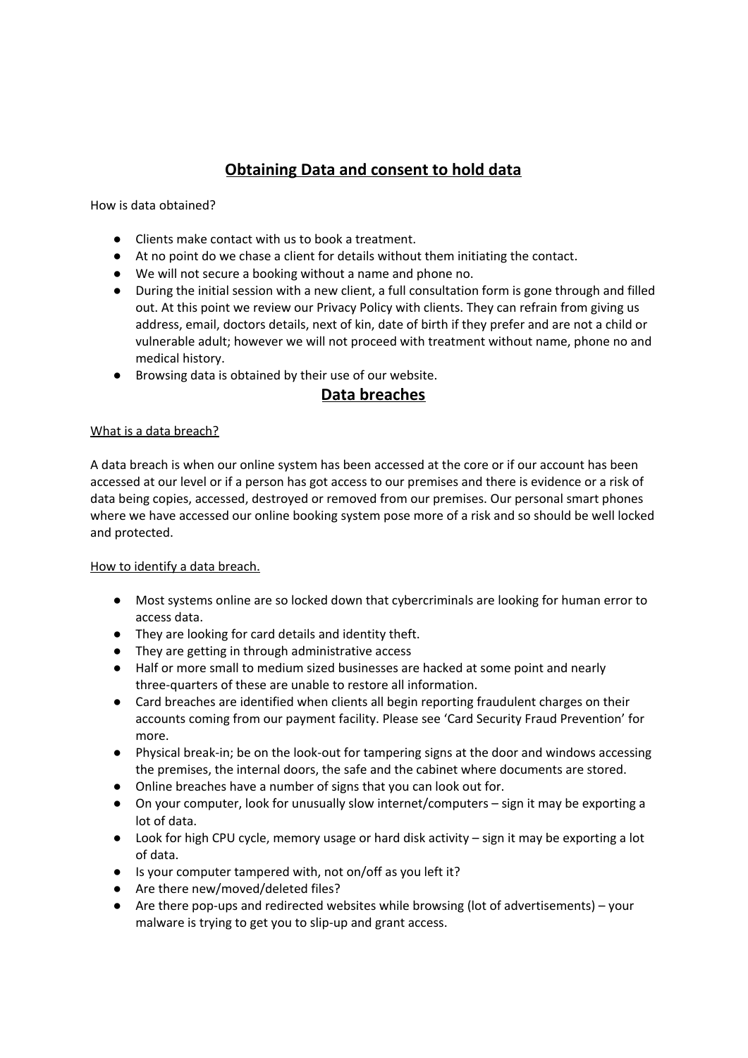# **Obtaining Data and consent to hold data**

How is data obtained?

- Clients make contact with us to book a treatment.
- At no point do we chase a client for details without them initiating the contact.
- We will not secure a booking without a name and phone no.
- During the initial session with a new client, a full consultation form is gone through and filled out. At this point we review our Privacy Policy with clients. They can refrain from giving us address, email, doctors details, next of kin, date of birth if they prefer and are not a child or vulnerable adult; however we will not proceed with treatment without name, phone no and medical history.
- Browsing data is obtained by their use of our website.

# **Data breaches**

# What is a data breach?

A data breach is when our online system has been accessed at the core or if our account has been accessed at our level or if a person has got access to our premises and there is evidence or a risk of data being copies, accessed, destroyed or removed from our premises. Our personal smart phones where we have accessed our online booking system pose more of a risk and so should be well locked and protected.

#### How to identify a data breach.

- Most systems online are so locked down that cybercriminals are looking for human error to access data.
- They are looking for card details and identity theft.
- They are getting in through administrative access
- Half or more small to medium sized businesses are hacked at some point and nearly three-quarters of these are unable to restore all information.
- Card breaches are identified when clients all begin reporting fraudulent charges on their accounts coming from our payment facility. Please see 'Card Security Fraud Prevention' for more.
- Physical break-in; be on the look-out for tampering signs at the door and windows accessing the premises, the internal doors, the safe and the cabinet where documents are stored.
- Online breaches have a number of signs that you can look out for.
- On your computer, look for unusually slow internet/computers sign it may be exporting a lot of data.
- Look for high CPU cycle, memory usage or hard disk activity sign it may be exporting a lot of data.
- Is your computer tampered with, not on/off as you left it?
- Are there new/moved/deleted files?
- Are there pop-ups and redirected websites while browsing (lot of advertisements) your malware is trying to get you to slip-up and grant access.